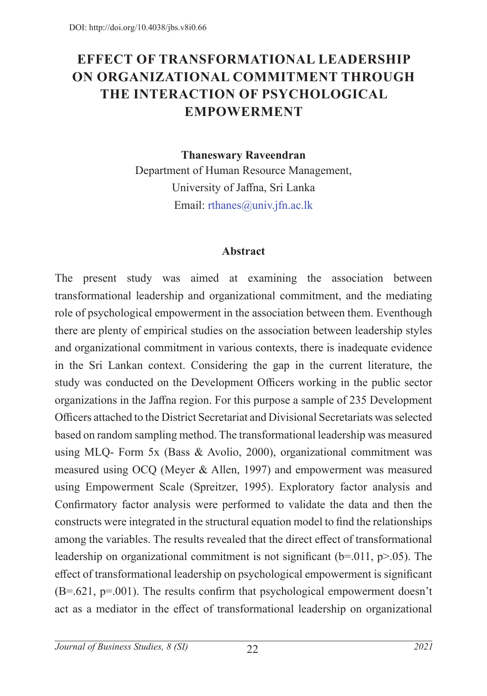# **EFFECT OF TRANSFORMATIONAL LEADERSHIP ON ORGANIZATIONAL COMMITMENT THROUGH THE INTERACTION OF PSYCHOLOGICAL EMPOWERMENT**

**Thaneswary Raveendran**

Department of Human Resource Management, University of Jaffna, Sri Lanka Email: rthanes@univ.jfn.ac.lk

#### **Abstract**

The present study was aimed at examining the association between transformational leadership and organizational commitment, and the mediating role of psychological empowerment in the association between them. Eventhough there are plenty of empirical studies on the association between leadership styles and organizational commitment in various contexts, there is inadequate evidence in the Sri Lankan context. Considering the gap in the current literature, the study was conducted on the Development Officers working in the public sector organizations in the Jaffna region. For this purpose a sample of 235 Development Officers attached to the District Secretariat and Divisional Secretariats was selected based on random sampling method. The transformational leadership was measured using MLQ- Form 5x (Bass & Avolio, 2000), organizational commitment was measured using OCQ (Meyer & Allen, 1997) and empowerment was measured using Empowerment Scale (Spreitzer, 1995). Exploratory factor analysis and Confirmatory factor analysis were performed to validate the data and then the constructs were integrated in the structural equation model to find the relationships among the variables. The results revealed that the direct effect of transformational leadership on organizational commitment is not significant ( $b$ =.011,  $p$ >.05). The effect of transformational leadership on psychological empowerment is significant (B=.621, p=.001). The results confirm that psychological empowerment doesn't act as a mediator in the effect of transformational leadership on organizational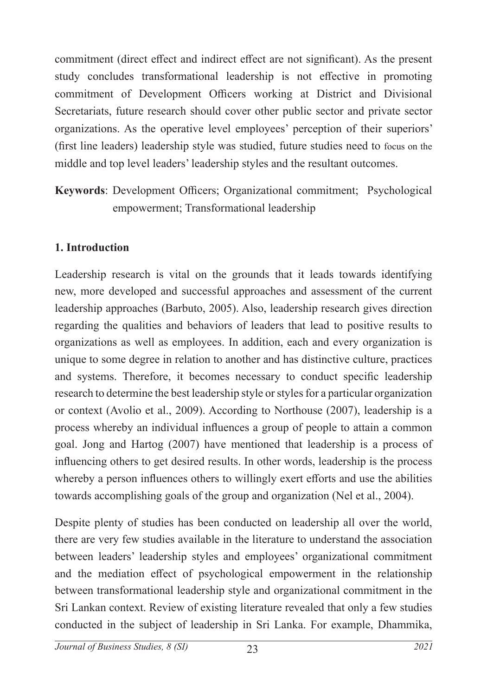commitment (direct effect and indirect effect are not significant). As the present study concludes transformational leadership is not effective in promoting commitment of Development Officers working at District and Divisional Secretariats, future research should cover other public sector and private sector organizations. As the operative level employees' perception of their superiors' (first line leaders) leadership style was studied, future studies need to focus on the middle and top level leaders' leadership styles and the resultant outcomes.

**Keywords**: Development Officers; Organizational commitment; Psychological empowerment; Transformational leadership

### **1. Introduction**

Leadership research is vital on the grounds that it leads towards identifying new, more developed and successful approaches and assessment of the current leadership approaches (Barbuto, 2005). Also, leadership research gives direction regarding the qualities and behaviors of leaders that lead to positive results to organizations as well as employees. In addition, each and every organization is unique to some degree in relation to another and has distinctive culture, practices and systems. Therefore, it becomes necessary to conduct specific leadership research to determine the best leadership style or styles for a particular organization or context (Avolio et al., 2009). According to Northouse (2007), leadership is a process whereby an individual influences a group of people to attain a common goal. Jong and Hartog (2007) have mentioned that leadership is a process of influencing others to get desired results. In other words, leadership is the process whereby a person influences others to willingly exert efforts and use the abilities towards accomplishing goals of the group and organization (Nel et al., 2004).

Despite plenty of studies has been conducted on leadership all over the world, there are very few studies available in the literature to understand the association between leaders' leadership styles and employees' organizational commitment and the mediation effect of psychological empowerment in the relationship between transformational leadership style and organizational commitment in the Sri Lankan context. Review of existing literature revealed that only a few studies conducted in the subject of leadership in Sri Lanka. For example, Dhammika,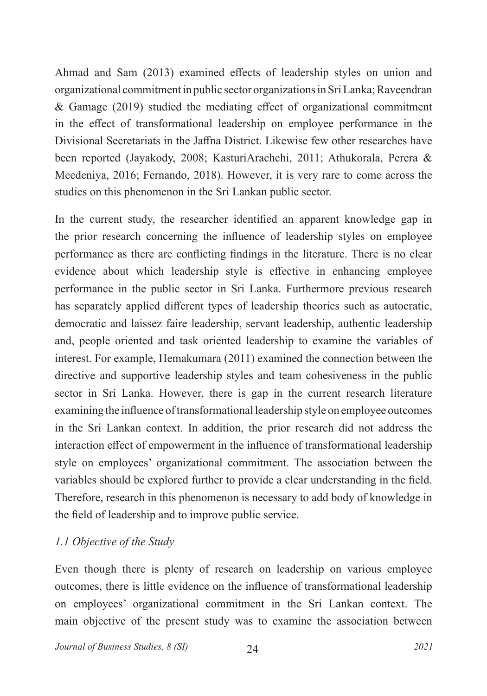Ahmad and Sam (2013) examined effects of leadership styles on union and organizational commitment in public sector organizations in Sri Lanka; Raveendran & Gamage (2019) studied the mediating effect of organizational commitment in the effect of transformational leadership on employee performance in the Divisional Secretariats in the Jaffna District. Likewise few other researches have been reported (Jayakody, 2008; KasturiArachchi, 2011; Athukorala, Perera & Meedeniya, 2016; Fernando, 2018). However, it is very rare to come across the studies on this phenomenon in the Sri Lankan public sector.

In the current study, the researcher identified an apparent knowledge gap in the prior research concerning the influence of leadership styles on employee performance as there are conflicting findings in the literature. There is no clear evidence about which leadership style is effective in enhancing employee performance in the public sector in Sri Lanka. Furthermore previous research has separately applied different types of leadership theories such as autocratic, democratic and laissez faire leadership, servant leadership, authentic leadership and, people oriented and task oriented leadership to examine the variables of interest. For example, Hemakumara (2011) examined the connection between the directive and supportive leadership styles and team cohesiveness in the public sector in Sri Lanka. However, there is gap in the current research literature examining the influence of transformational leadership style on employee outcomes in the Sri Lankan context. In addition, the prior research did not address the interaction effect of empowerment in the influence of transformational leadership style on employees' organizational commitment. The association between the variables should be explored further to provide a clear understanding in the field. Therefore, research in this phenomenon is necessary to add body of knowledge in the field of leadership and to improve public service.

# *1.1 Objective of the Study*

Even though there is plenty of research on leadership on various employee outcomes, there is little evidence on the influence of transformational leadership on employees' organizational commitment in the Sri Lankan context. The main objective of the present study was to examine the association between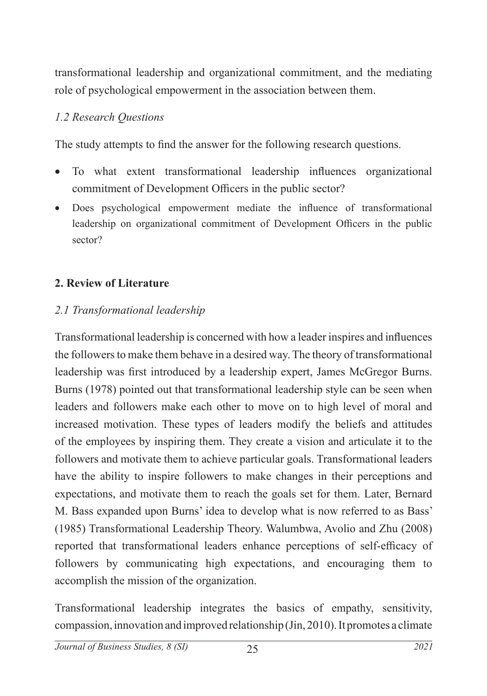transformational leadership and organizational commitment, and the mediating role of psychological empowerment in the association between them.

#### *1.2 Research Questions*

The study attempts to find the answer for the following research questions.

- To what extent transformational leadership influences organizational commitment of Development Officers in the public sector?
- • Does psychological empowerment mediate the influence of transformational leadership on organizational commitment of Development Officers in the public sector?

#### **2. Review of Literature**

#### *2.1 Transformational leadership*

Transformational leadership is concerned with how a leader inspires and influences the followers to make them behave in a desired way. The theory of transformational leadership was first introduced by a leadership expert, James McGregor Burns. Burns (1978) pointed out that transformational leadership style can be seen when leaders and followers make each other to move on to high level of moral and increased motivation. These types of leaders modify the beliefs and attitudes of the employees by inspiring them. They create a vision and articulate it to the followers and motivate them to achieve particular goals. Transformational leaders have the ability to inspire followers to make changes in their perceptions and expectations, and motivate them to reach the goals set for them. Later, Bernard M. Bass expanded upon Burns' idea to develop what is now referred to as Bass' (1985) Transformational Leadership Theory. Walumbwa, Avolio and Zhu (2008) reported that transformational leaders enhance perceptions of self-efficacy of followers by communicating high expectations, and encouraging them to accomplish the mission of the organization.

Transformational leadership integrates the basics of empathy, sensitivity, compassion, innovation and improved relationship (Jin, 2010). It promotes a climate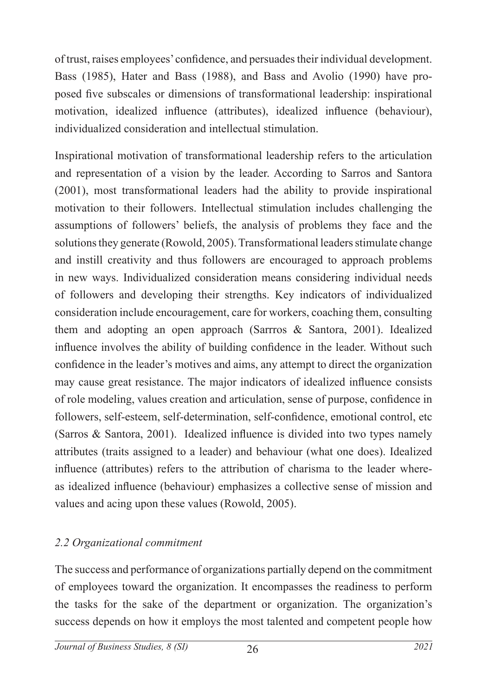of trust, raises employees' confidence, and persuades their individual development. Bass (1985), Hater and Bass (1988), and Bass and Avolio (1990) have proposed five subscales or dimensions of transformational leadership: inspirational motivation, idealized influence (attributes), idealized influence (behaviour), individualized consideration and intellectual stimulation.

Inspirational motivation of transformational leadership refers to the articulation and representation of a vision by the leader. According to Sarros and Santora (2001), most transformational leaders had the ability to provide inspirational motivation to their followers. Intellectual stimulation includes challenging the assumptions of followers' beliefs, the analysis of problems they face and the solutions they generate (Rowold, 2005). Transformational leaders stimulate change and instill creativity and thus followers are encouraged to approach problems in new ways. Individualized consideration means considering individual needs of followers and developing their strengths. Key indicators of individualized consideration include encouragement, care for workers, coaching them, consulting them and adopting an open approach (Sarrros & Santora, 2001). Idealized influence involves the ability of building confidence in the leader. Without such confidence in the leader's motives and aims, any attempt to direct the organization may cause great resistance. The major indicators of idealized influence consists of role modeling, values creation and articulation, sense of purpose, confidence in followers, self-esteem, self-determination, self-confidence, emotional control, etc (Sarros & Santora, 2001). Idealized influence is divided into two types namely attributes (traits assigned to a leader) and behaviour (what one does). Idealized influence (attributes) refers to the attribution of charisma to the leader whereas idealized influence (behaviour) emphasizes a collective sense of mission and values and acing upon these values (Rowold, 2005).

# *2.2 Organizational commitment*

The success and performance of organizations partially depend on the commitment of employees toward the organization. It encompasses the readiness to perform the tasks for the sake of the department or organization. The organization's success depends on how it employs the most talented and competent people how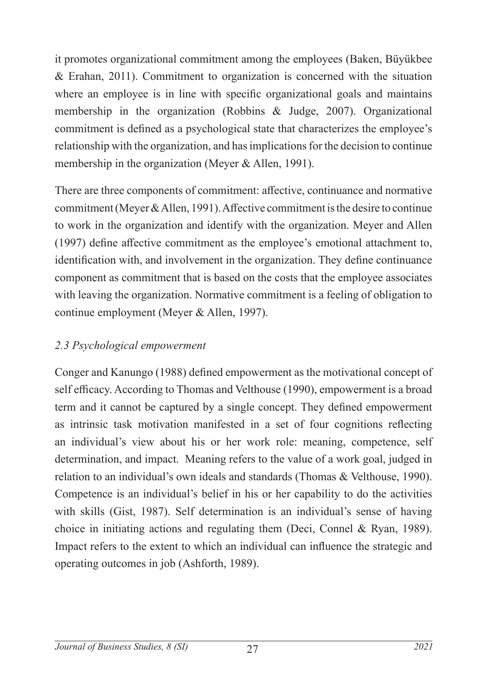it promotes organizational commitment among the employees (Baken, Büyükbee & Erahan, 2011). Commitment to organization is concerned with the situation where an employee is in line with specific organizational goals and maintains membership in the organization (Robbins & Judge, 2007). Organizational commitment is defined as a psychological state that characterizes the employee's relationship with the organization, and has implications for the decision to continue membership in the organization (Meyer & Allen, 1991).

There are three components of commitment: affective, continuance and normative commitment (Meyer & Allen, 1991). Affective commitment is the desire to continue to work in the organization and identify with the organization. Meyer and Allen (1997) define affective commitment as the employee's emotional attachment to, identification with, and involvement in the organization. They define continuance component as commitment that is based on the costs that the employee associates with leaving the organization. Normative commitment is a feeling of obligation to continue employment (Meyer & Allen, 1997).

### *2.3 Psychological empowerment*

Conger and Kanungo (1988) defined empowerment as the motivational concept of self efficacy. According to Thomas and Velthouse (1990), empowerment is a broad term and it cannot be captured by a single concept. They defined empowerment as intrinsic task motivation manifested in a set of four cognitions reflecting an individual's view about his or her work role: meaning, competence, self determination, and impact. Meaning refers to the value of a work goal, judged in relation to an individual's own ideals and standards (Thomas & Velthouse, 1990). Competence is an individual's belief in his or her capability to do the activities with skills (Gist, 1987). Self determination is an individual's sense of having choice in initiating actions and regulating them (Deci, Connel & Ryan, 1989). Impact refers to the extent to which an individual can influence the strategic and operating outcomes in job (Ashforth, 1989).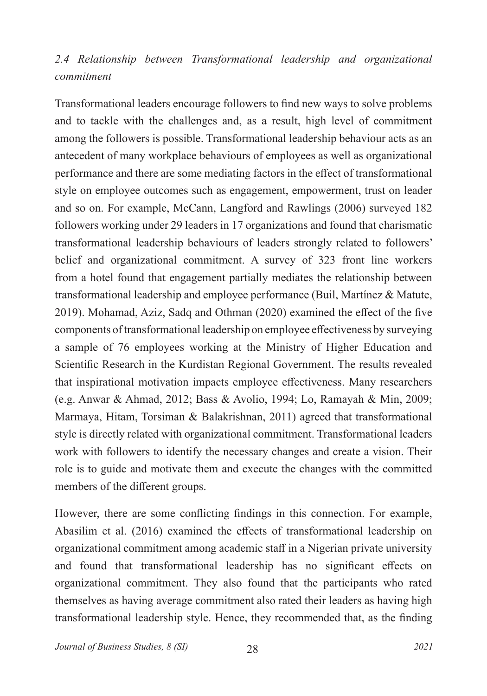# *2.4 Relationship between Transformational leadership and organizational commitment*

Transformational leaders encourage followers to find new ways to solve problems and to tackle with the challenges and, as a result, high level of commitment among the followers is possible. Transformational leadership behaviour acts as an antecedent of many workplace behaviours of employees as well as organizational performance and there are some mediating factors in the effect of transformational style on employee outcomes such as engagement, empowerment, trust on leader and so on. For example, McCann, Langford and Rawlings (2006) surveyed 182 followers working under 29 leaders in 17 organizations and found that charismatic transformational leadership behaviours of leaders strongly related to followers' belief and organizational commitment. A survey of 323 front line workers from a hotel found that engagement partially mediates the relationship between transformational leadership and employee performance (Buil, Martínez & Matute, 2019). Mohamad, Aziz, Sadq and Othman (2020) examined the effect of the five components of transformational leadership on employee effectiveness by surveying a sample of 76 employees working at the Ministry of Higher Education and Scientific Research in the Kurdistan Regional Government. The results revealed that inspirational motivation impacts employee effectiveness. Many researchers (e.g. Anwar & Ahmad, 2012; Bass & Avolio, 1994; Lo, Ramayah & Min, 2009; Marmaya, Hitam, Torsiman & Balakrishnan, 2011) agreed that transformational style is directly related with organizational commitment. Transformational leaders work with followers to identify the necessary changes and create a vision. Their role is to guide and motivate them and execute the changes with the committed members of the different groups.

However, there are some conflicting findings in this connection. For example, Abasilim et al. (2016) examined the effects of transformational leadership on organizational commitment among academic staff in a Nigerian private university and found that transformational leadership has no significant effects on organizational commitment. They also found that the participants who rated themselves as having average commitment also rated their leaders as having high transformational leadership style. Hence, they recommended that, as the finding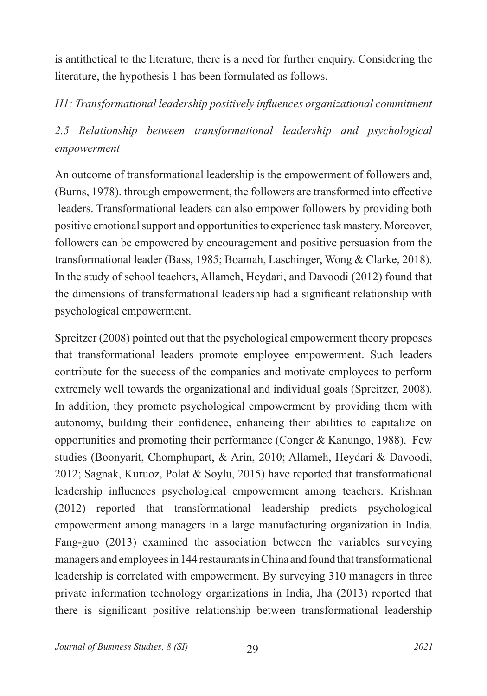is antithetical to the literature, there is a need for further enquiry. Considering the literature, the hypothesis 1 has been formulated as follows.

*H1: Transformational leadership positively influences organizational commitment* 

*2.5 Relationship between transformational leadership and psychological empowerment*

An outcome of transformational leadership is the empowerment of followers and, (Burns, 1978). through empowerment, the followers are transformed into effective leaders. Transformational leaders can also empower followers by providing both positive emotional support and opportunities to experience task mastery. Moreover, followers can be empowered by encouragement and positive persuasion from the transformational leader (Bass, 1985; Boamah, Laschinger, Wong & Clarke, 2018). In the study of school teachers, Allameh, Heydari, and Davoodi (2012) found that the dimensions of transformational leadership had a significant relationship with psychological empowerment.

Spreitzer (2008) pointed out that the psychological empowerment theory proposes that transformational leaders promote employee empowerment. Such leaders contribute for the success of the companies and motivate employees to perform extremely well towards the organizational and individual goals (Spreitzer, 2008). In addition, they promote psychological empowerment by providing them with autonomy, building their confidence, enhancing their abilities to capitalize on opportunities and promoting their performance (Conger & Kanungo, 1988). Few studies (Boonyarit, Chomphupart, & Arin, 2010; Allameh, Heydari & Davoodi, 2012; Sagnak, Kuruoz, Polat & Soylu, 2015) have reported that transformational leadership influences psychological empowerment among teachers. Krishnan (2012) reported that transformational leadership predicts psychological empowerment among managers in a large manufacturing organization in India. Fang-guo (2013) examined the association between the variables surveying managers and employees in 144 restaurants in China and found that transformational leadership is correlated with empowerment. By surveying 310 managers in three private information technology organizations in India, Jha (2013) reported that there is significant positive relationship between transformational leadership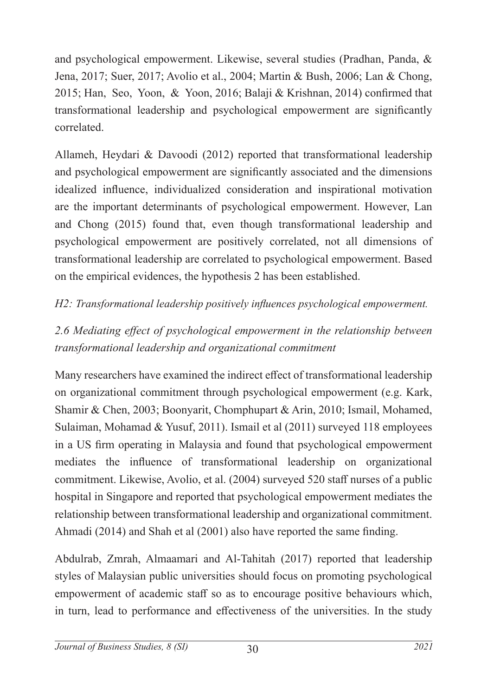and psychological empowerment. Likewise, several studies (Pradhan, Panda, & Jena, 2017; Suer, 2017; Avolio et al., 2004; Martin & Bush, 2006; Lan & Chong, 2015; Han, Seo, Yoon, & Yoon, 2016; Balaji & Krishnan, 2014) confirmed that transformational leadership and psychological empowerment are significantly correlated.

Allameh, Heydari & Davoodi (2012) reported that transformational leadership and psychological empowerment are significantly associated and the dimensions idealized influence, individualized consideration and inspirational motivation are the important determinants of psychological empowerment. However, Lan and Chong (2015) found that, even though transformational leadership and psychological empowerment are positively correlated, not all dimensions of transformational leadership are correlated to psychological empowerment. Based on the empirical evidences, the hypothesis 2 has been established.

# *H2: Transformational leadership positively influences psychological empowerment.*

# *2.6 Mediating effect of psychological empowerment in the relationship between transformational leadership and organizational commitment*

Many researchers have examined the indirect effect of transformational leadership on organizational commitment through psychological empowerment (e.g. Kark, Shamir & Chen, 2003; Boonyarit, Chomphupart & Arin, 2010; Ismail, Mohamed, Sulaiman, Mohamad & Yusuf, 2011). Ismail et al (2011) surveyed 118 employees in a US firm operating in Malaysia and found that psychological empowerment mediates the influence of transformational leadership on organizational commitment. Likewise, Avolio, et al. (2004) surveyed 520 staff nurses of a public hospital in Singapore and reported that psychological empowerment mediates the relationship between transformational leadership and organizational commitment. Ahmadi (2014) and Shah et al (2001) also have reported the same finding.

Abdulrab, Zmrah, Almaamari and Al-Tahitah (2017) reported that leadership styles of Malaysian public universities should focus on promoting psychological empowerment of academic staff so as to encourage positive behaviours which, in turn, lead to performance and effectiveness of the universities. In the study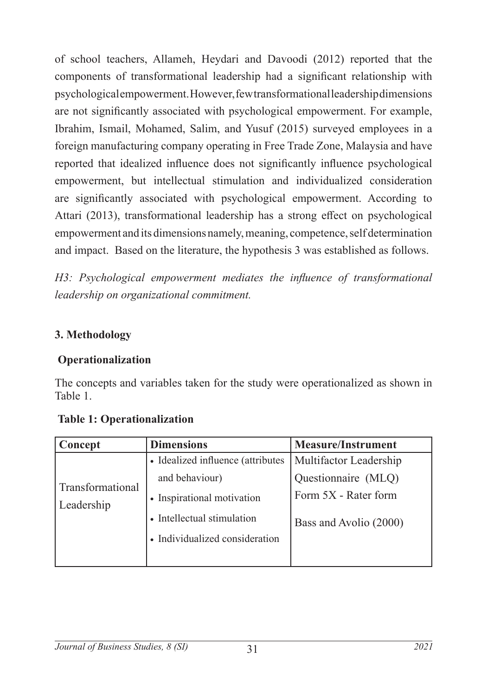of school teachers, Allameh, Heydari and Davoodi (2012) reported that the components of transformational leadership had a significant relationship with psychological empowerment. However, few transformational leadership dimensions are not significantly associated with psychological empowerment. For example, Ibrahim, Ismail, Mohamed, Salim, and Yusuf (2015) surveyed employees in a foreign manufacturing company operating in Free Trade Zone, Malaysia and have reported that idealized influence does not significantly influence psychological empowerment, but intellectual stimulation and individualized consideration are significantly associated with psychological empowerment. According to Attari (2013), transformational leadership has a strong effect on psychological empowerment and its dimensions namely, meaning, competence, self determination and impact. Based on the literature, the hypothesis 3 was established as follows.

*H3: Psychological empowerment mediates the influence of transformational leadership on organizational commitment.*

# **3. Methodology**

# **Operationalization**

The concepts and variables taken for the study were operationalized as shown in Table 1.

| Concept                        | <b>Dimensions</b>                 | <b>Measure/Instrument</b> |
|--------------------------------|-----------------------------------|---------------------------|
|                                | • Idealized influence (attributes | Multifactor Leadership    |
|                                | and behaviour)                    | Questionnaire (MLQ)       |
| Transformational<br>Leadership | • Inspirational motivation        | Form 5X - Rater form      |
|                                | • Intellectual stimulation        | Bass and Avolio (2000)    |
|                                | • Individualized consideration    |                           |
|                                |                                   |                           |

#### **Table 1: Operationalization**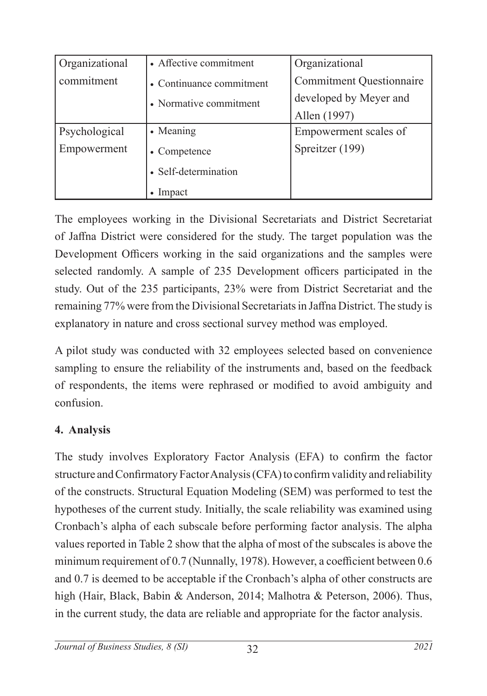| Organizational | • Affective commitment   | Organizational                  |
|----------------|--------------------------|---------------------------------|
| commitment     | • Continuance commitment | <b>Commitment Questionnaire</b> |
|                | • Normative commitment   | developed by Meyer and          |
|                |                          | Allen (1997)                    |
| Psychological  | • Meaning                | Empowerment scales of           |
| Empowerment    | • Competence             | Spreitzer (199)                 |
|                | • Self-determination     |                                 |
|                | Impact                   |                                 |

The employees working in the Divisional Secretariats and District Secretariat of Jaffna District were considered for the study. The target population was the Development Officers working in the said organizations and the samples were selected randomly. A sample of 235 Development officers participated in the study. Out of the 235 participants, 23% were from District Secretariat and the remaining 77% were from the Divisional Secretariats in Jaffna District. The study is explanatory in nature and cross sectional survey method was employed.

A pilot study was conducted with 32 employees selected based on convenience sampling to ensure the reliability of the instruments and, based on the feedback of respondents, the items were rephrased or modified to avoid ambiguity and confusion.

# **4. Analysis**

The study involves Exploratory Factor Analysis (EFA) to confirm the factor structure and Confirmatory Factor Analysis (CFA) to confirm validity and reliability of the constructs. Structural Equation Modeling (SEM) was performed to test the hypotheses of the current study. Initially, the scale reliability was examined using Cronbach's alpha of each subscale before performing factor analysis. The alpha values reported in Table 2 show that the alpha of most of the subscales is above the minimum requirement of 0.7 (Nunnally, 1978). However, a coefficient between 0.6 and 0.7 is deemed to be acceptable if the Cronbach's alpha of other constructs are high (Hair, Black, Babin & Anderson, 2014; Malhotra & Peterson, 2006). Thus, in the current study, the data are reliable and appropriate for the factor analysis.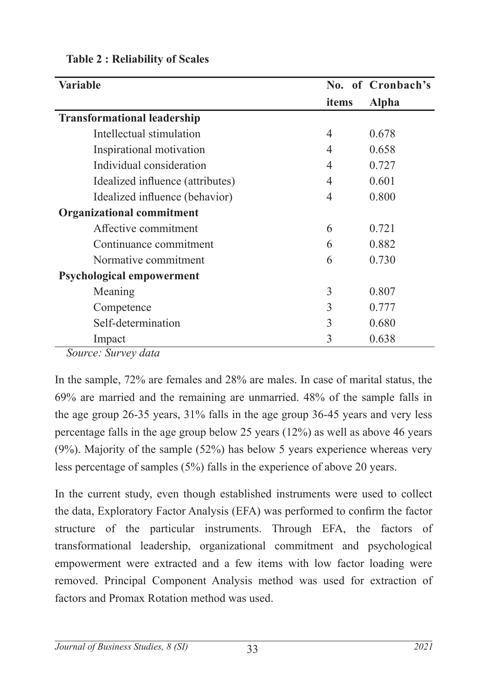| <b>Variable</b>                    |                | No. of Cronbach's |
|------------------------------------|----------------|-------------------|
|                                    | items          | <b>Alpha</b>      |
| <b>Transformational leadership</b> |                |                   |
| Intellectual stimulation           | 4              | 0.678             |
| Inspirational motivation           | $\overline{4}$ | 0.658             |
| Individual consideration           | $\overline{4}$ | 0.727             |
| Idealized influence (attributes)   | 4              | 0.601             |
| Idealized influence (behavior)     | 4              | 0.800             |
| <b>Organizational commitment</b>   |                |                   |
| Affective commitment               | 6              | 0.721             |
| Continuance commitment             | 6              | 0.882             |
| Normative commitment               | 6              | 0.730             |
| <b>Psychological empowerment</b>   |                |                   |
| Meaning                            | 3              | 0.807             |
| Competence                         | 3              | 0.777             |
| Self-determination                 | 3              | 0.680             |
| Impact                             | 3              | 0.638             |

#### **Table 2 : Reliability of Scales**

*Source: Survey data*

In the sample, 72% are females and 28% are males. In case of marital status, the 69% are married and the remaining are unmarried. 48% of the sample falls in the age group 26-35 years, 31% falls in the age group 36-45 years and very less percentage falls in the age group below 25 years (12%) as well as above 46 years (9%). Majority of the sample (52%) has below 5 years experience whereas very less percentage of samples (5%) falls in the experience of above 20 years.

In the current study, even though established instruments were used to collect the data, Exploratory Factor Analysis (EFA) was performed to confirm the factor structure of the particular instruments. Through EFA, the factors of transformational leadership, organizational commitment and psychological empowerment were extracted and a few items with low factor loading were removed. Principal Component Analysis method was used for extraction of factors and Promax Rotation method was used.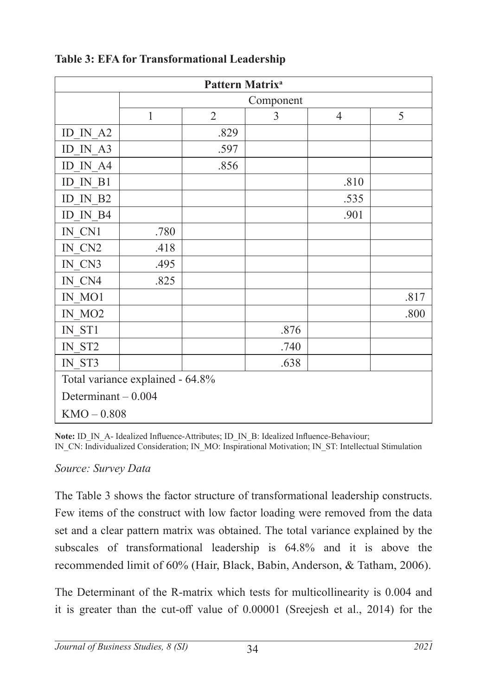| Pattern Matrix <sup>a</sup>                    |                                  |                |      |                |      |  |  |
|------------------------------------------------|----------------------------------|----------------|------|----------------|------|--|--|
|                                                | Component                        |                |      |                |      |  |  |
|                                                | $\mathbf{1}$                     | $\overline{2}$ | 3    | $\overline{4}$ | 5    |  |  |
| $ID$ <sub><math>IN</math><math>A2</math></sub> |                                  | .829           |      |                |      |  |  |
| ID IN A3                                       |                                  | .597           |      |                |      |  |  |
| ID IN A4                                       |                                  | .856           |      |                |      |  |  |
| ID IN B1                                       |                                  |                |      | .810           |      |  |  |
| ID IN B2                                       |                                  |                |      | .535           |      |  |  |
| ID IN B4                                       |                                  |                |      | .901           |      |  |  |
| IN CN1                                         | .780                             |                |      |                |      |  |  |
| IN CN2                                         | .418                             |                |      |                |      |  |  |
| IN CN3                                         | .495                             |                |      |                |      |  |  |
| IN CN4                                         | .825                             |                |      |                |      |  |  |
| IN MO1                                         |                                  |                |      |                | .817 |  |  |
| IN MO2                                         |                                  |                |      |                | .800 |  |  |
| IN ST1                                         |                                  |                | .876 |                |      |  |  |
| IN ST2                                         |                                  |                | .740 |                |      |  |  |
| IN ST3                                         |                                  |                | .638 |                |      |  |  |
|                                                | Total variance explained - 64.8% |                |      |                |      |  |  |
| Determinant $-0.004$                           |                                  |                |      |                |      |  |  |
| $KMO - 0.808$                                  |                                  |                |      |                |      |  |  |

### **Table 3: EFA for Transformational Leadership**

Note: ID\_IN\_A- Idealized Influence-Attributes; ID\_IN\_B: Idealized Influence-Behaviour; IN\_CN: Individualized Consideration; IN\_MO: Inspirational Motivation; IN\_ST: Intellectual Stimulation

#### *Source: Survey Data*

The Table 3 shows the factor structure of transformational leadership constructs. Few items of the construct with low factor loading were removed from the data set and a clear pattern matrix was obtained. The total variance explained by the subscales of transformational leadership is 64.8% and it is above the recommended limit of 60% (Hair, Black, Babin, Anderson, & Tatham, 2006).

The Determinant of the R-matrix which tests for multicollinearity is 0.004 and it is greater than the cut-off value of 0.00001 (Sreejesh et al., 2014) for the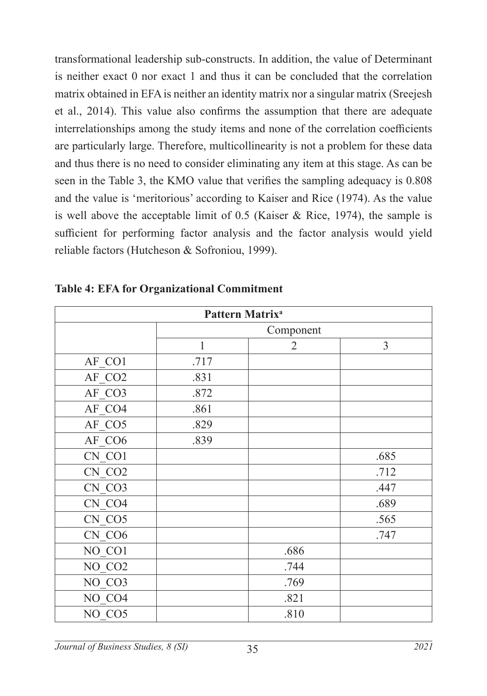transformational leadership sub-constructs. In addition, the value of Determinant is neither exact 0 nor exact 1 and thus it can be concluded that the correlation matrix obtained in EFA is neither an identity matrix nor a singular matrix (Sreejesh et al., 2014). This value also confirms the assumption that there are adequate interrelationships among the study items and none of the correlation coefficients are particularly large. Therefore, multicollinearity is not a problem for these data and thus there is no need to consider eliminating any item at this stage. As can be seen in the Table 3, the KMO value that verifies the sampling adequacy is 0.808 and the value is 'meritorious' according to Kaiser and Rice (1974). As the value is well above the acceptable limit of 0.5 (Kaiser  $\&$  Rice, 1974), the sample is sufficient for performing factor analysis and the factor analysis would yield reliable factors (Hutcheson & Sofroniou, 1999).

| Pattern Matrix <sup>a</sup> |              |                |      |  |  |  |  |
|-----------------------------|--------------|----------------|------|--|--|--|--|
|                             |              | Component      |      |  |  |  |  |
|                             | $\mathbf{1}$ | $\overline{2}$ | 3    |  |  |  |  |
| AF CO1                      | .717         |                |      |  |  |  |  |
| AF CO2                      | .831         |                |      |  |  |  |  |
| AF CO3                      | .872         |                |      |  |  |  |  |
| AF CO4                      | .861         |                |      |  |  |  |  |
| AF_CO5                      | .829         |                |      |  |  |  |  |
| AF CO6                      | .839         |                |      |  |  |  |  |
| CN CO1                      |              |                | .685 |  |  |  |  |
| CN CO <sub>2</sub>          |              |                | .712 |  |  |  |  |
| CN CO3                      |              |                | .447 |  |  |  |  |
| CN CO4                      |              |                | .689 |  |  |  |  |
| CN CO5                      |              |                | .565 |  |  |  |  |
| CN CO6                      |              |                | .747 |  |  |  |  |
| NO CO1                      |              | .686           |      |  |  |  |  |
| NO CO <sub>2</sub>          |              | .744           |      |  |  |  |  |
| NO CO3                      |              | .769           |      |  |  |  |  |
| NO CO4                      |              | .821           |      |  |  |  |  |
| NO CO5                      |              | .810           |      |  |  |  |  |

**Table 4: EFA for Organizational Commitment**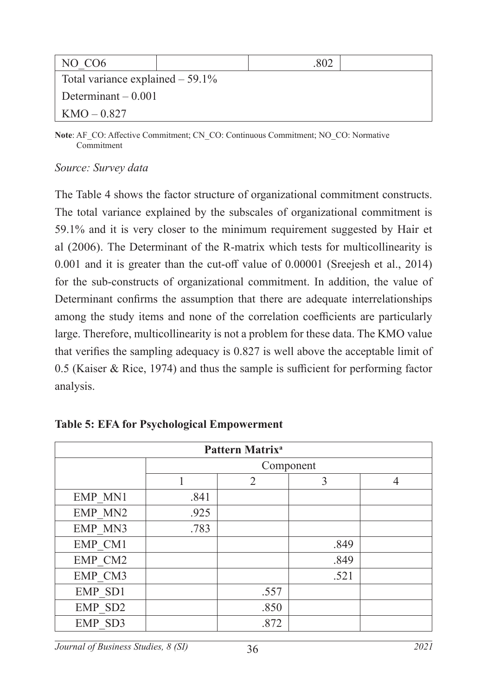| NO CO <sub>6</sub>                 |  |
|------------------------------------|--|
| Total variance explained $-59.1\%$ |  |
| Determinant $-0.001$               |  |
| $KMO - 0.827$                      |  |

**Note**: AF\_CO: Affective Commitment; CN\_CO: Continuous Commitment; NO\_CO: Normative Commitment

#### *Source: Survey data*

The Table 4 shows the factor structure of organizational commitment constructs. The total variance explained by the subscales of organizational commitment is 59.1% and it is very closer to the minimum requirement suggested by Hair et al (2006). The Determinant of the R-matrix which tests for multicollinearity is 0.001 and it is greater than the cut-off value of 0.00001 (Sreejesh et al., 2014) for the sub-constructs of organizational commitment. In addition, the value of Determinant confirms the assumption that there are adequate interrelationships among the study items and none of the correlation coefficients are particularly large. Therefore, multicollinearity is not a problem for these data. The KMO value that verifies the sampling adequacy is 0.827 is well above the acceptable limit of 0.5 (Kaiser & Rice, 1974) and thus the sample is sufficient for performing factor analysis.

| Pattern Matrix <sup>a</sup> |                          |      |           |  |  |  |  |  |
|-----------------------------|--------------------------|------|-----------|--|--|--|--|--|
|                             |                          |      | Component |  |  |  |  |  |
|                             | $\overline{2}$<br>3<br>4 |      |           |  |  |  |  |  |
| EMP MN1                     | .841                     |      |           |  |  |  |  |  |
| EMP MN2                     | .925                     |      |           |  |  |  |  |  |
| EMP MN3                     | .783                     |      |           |  |  |  |  |  |
| EMP CM1                     |                          |      | .849      |  |  |  |  |  |
| EMP CM2                     |                          |      | .849      |  |  |  |  |  |
| EMP CM3                     |                          |      | .521      |  |  |  |  |  |
| EMP SD1                     |                          | .557 |           |  |  |  |  |  |
| EMP SD2                     |                          | .850 |           |  |  |  |  |  |
| EMP SD3                     |                          | .872 |           |  |  |  |  |  |

|  |  |  |  | <b>Table 5: EFA for Psychological Empowerment</b> |
|--|--|--|--|---------------------------------------------------|
|--|--|--|--|---------------------------------------------------|

36 *Journal of Business Studies, 8 (SI) 2021*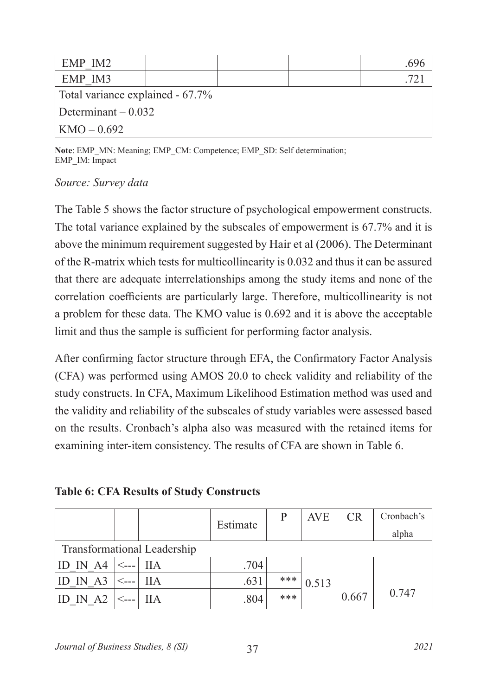| EMP IM2                          |  |  |  |  |  |
|----------------------------------|--|--|--|--|--|
| EMP IM3                          |  |  |  |  |  |
| Total variance explained - 67.7% |  |  |  |  |  |
| Determinant $-0.032$             |  |  |  |  |  |
| $  KMO - 0.692$                  |  |  |  |  |  |

**Note**: EMP\_MN: Meaning; EMP\_CM: Competence; EMP\_SD: Self determination; EMP\_IM: Impact

#### *Source: Survey data*

The Table 5 shows the factor structure of psychological empowerment constructs. The total variance explained by the subscales of empowerment is 67.7% and it is above the minimum requirement suggested by Hair et al (2006). The Determinant of the R-matrix which tests for multicollinearity is 0.032 and thus it can be assured that there are adequate interrelationships among the study items and none of the correlation coefficients are particularly large. Therefore, multicollinearity is not a problem for these data. The KMO value is 0.692 and it is above the acceptable limit and thus the sample is sufficient for performing factor analysis.

After confirming factor structure through EFA, the Confirmatory Factor Analysis (CFA) was performed using AMOS 20.0 to check validity and reliability of the study constructs. In CFA, Maximum Likelihood Estimation method was used and the validity and reliability of the subscales of study variables were assessed based on the results. Cronbach's alpha also was measured with the retained items for examining inter-item consistency. The results of CFA are shown in Table 6.

**Table 6: CFA Results of Study Constructs** 

|          |      |                             |          | P   | AVE   | <b>CR</b> | Cronbach's |
|----------|------|-----------------------------|----------|-----|-------|-----------|------------|
|          |      |                             | Estimate |     |       |           | alpha      |
|          |      | Transformational Leadership |          |     |       |           |            |
| ID IN A4 |      | - IIA                       | .704     |     |       |           |            |
| ID IN A3 | ⊂--- | ШA                          | .631     | *** | 0.513 |           |            |
| AA2      |      | ПA                          | .804     | *** |       | 0.667     | 0.747      |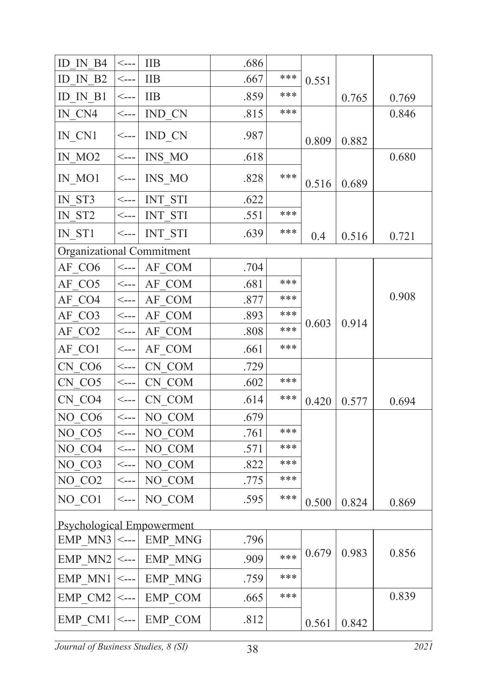| ID IN B4                         | $\operatorname{\sf \small \leq }$ ---      | <b>IIB</b>     | .686 |     |       |       |       |
|----------------------------------|--------------------------------------------|----------------|------|-----|-------|-------|-------|
| ID IN B2                         | $\operatorname{\sf \small \leq }$ ---      | <b>IIB</b>     | .667 | *** | 0.551 |       |       |
| ID IN B1                         | $\mathrel{<}\!\mathrel{_{\sim\!\sim}}$     | <b>IIB</b>     | .859 | *** |       | 0.765 | 0.769 |
| IN CN4                           | $\leftarrow$                               | IND CN         | .815 | *** |       |       | 0.846 |
| IN_CN1                           | $\leftarrow$                               | IND_CN         | .987 |     | 0.809 | 0.882 |       |
| IN MO <sub>2</sub>               | $\operatorname{\sf \small \leq }$ ---      | INS MO         | .618 |     |       |       | 0.680 |
| IN MO1                           | $\operatorname{\sf \small \leq }$ ---      | INS MO         | .828 | *** | 0.516 | 0.689 |       |
| IN ST3                           | $\leftarrow$                               | <b>INT STI</b> | .622 |     |       |       |       |
| IN ST2                           | $\leftarrow$                               | INT STI        | .551 | *** |       |       |       |
| IN ST1                           | $\leftarrow$ $-$                           | <b>INT STI</b> | .639 | *** | 0.4   | 0.516 | 0.721 |
| Organizational Commitment        |                                            |                |      |     |       |       |       |
| AF CO6                           | $\leftarrow$                               | AF COM         | .704 |     |       |       |       |
| AF CO5                           | $\operatorname{\sf \small \cdots}$         | AF COM         | .681 | *** |       |       |       |
| AF CO4                           | $\mathrel{<}\scriptstyle{-}{\mathrel{--}}$ | AF COM         | .877 | *** |       |       | 0.908 |
| AF CO3                           | $\leftarrow$                               | AF COM         | .893 | *** |       | 0.914 |       |
| AF CO2                           | $\leftarrow$                               | AF COM         | .808 | *** | 0.603 |       |       |
| AF CO1                           | $\leftarrow$                               | AF COM         | .661 | *** |       |       |       |
| CN CO6                           | $\leftarrow$                               | CN COM         | .729 |     |       |       |       |
| CN CO5                           | $\operatorname{\sf \small \leq }$ ---      | CN COM         | .602 | *** |       |       |       |
| CN CO4                           | $\operatorname{\sf \small \leq }$ ---      | CN COM         | .614 | *** | 0.420 | 0.577 | 0.694 |
| NO CO6                           | $\operatorname{\sf \small <---}$           | NO COM         | .679 |     |       |       |       |
| NO CO5                           | $\leftarrow$                               | NO COM         | .761 | *** |       |       |       |
| NO CO4                           | $\leftarrow$ ---                           | NO COM         | .571 | *** |       |       |       |
| NO CO3                           | $\leftarrow$                               | NO COM         | .822 | *** |       |       |       |
| NO CO <sub>2</sub>               | $\leftarrow$ $\leftarrow$                  | NO COM         | .775 | *** |       |       |       |
| NO CO1                           | $\leftarrow$ ---                           | NO COM         | .595 | *** | 0.500 | 0.824 | 0.869 |
| <b>Psychological Empowerment</b> |                                            |                |      |     |       |       |       |
| EMP MN3 $ _{---} $               |                                            | <b>EMP MNG</b> | .796 |     |       |       |       |
| EMP MN2                          | $\leftarrow$ ---                           | <b>EMP MNG</b> | .909 | *** | 0.679 | 0.983 | 0.856 |
| $EMP$ MN1                        | $\leftarrow$ ---                           | <b>EMP MNG</b> | .759 | *** |       |       |       |
| $EMP$ CM2                        | $\leftarrow$ ---                           | EMP COM        | .665 | *** |       |       | 0.839 |
| EMP CM1 $ < $                    |                                            | EMP COM        | .812 |     | 0.561 | 0.842 |       |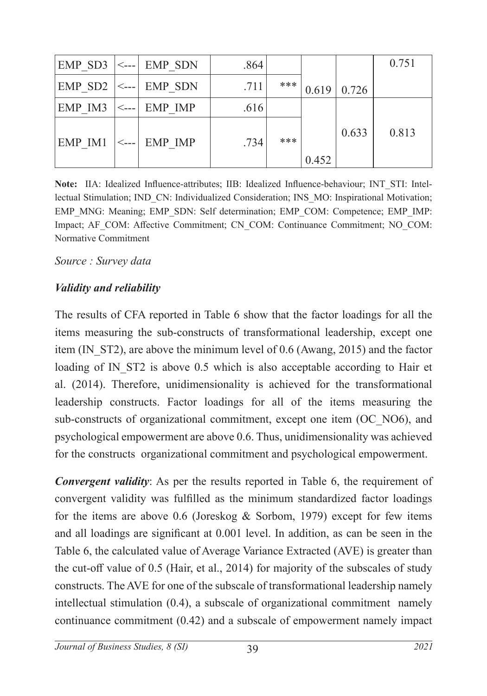| EMP SD3         | $\leftarrow$ --- | EMP SDN | .864 |     |       |       | 0.751 |
|-----------------|------------------|---------|------|-----|-------|-------|-------|
| EMP SD2 $ <-- $ |                  | EMP SDN | .711 | *** | 0.619 | 0.726 |       |
| EMP IM3         | $\leftarrow$ --- | EMP IMP | .616 |     |       |       |       |
| EMP IM1         | $\leftarrow$ --- | EMP IMP | .734 | *** |       | 0.633 | 0.813 |
|                 |                  |         |      |     | 0.452 |       |       |

**Note:** IIA: Idealized Influence-attributes; IIB: Idealized Influence-behaviour; INT\_STI: Intellectual Stimulation; IND\_CN: Individualized Consideration; INS\_MO: Inspirational Motivation; EMP\_MNG: Meaning; EMP\_SDN: Self determination; EMP\_COM: Competence; EMP\_IMP: Impact; AF\_COM: Affective Commitment; CN\_COM: Continuance Commitment; NO\_COM: Normative Commitment

*Source : Survey data*

#### *Validity and reliability*

The results of CFA reported in Table 6 show that the factor loadings for all the items measuring the sub-constructs of transformational leadership, except one item (IN\_ST2), are above the minimum level of 0.6 (Awang, 2015) and the factor loading of IN ST2 is above 0.5 which is also acceptable according to Hair et al. (2014). Therefore, unidimensionality is achieved for the transformational leadership constructs. Factor loadings for all of the items measuring the sub-constructs of organizational commitment, except one item (OC\_NO6), and psychological empowerment are above 0.6. Thus, unidimensionality was achieved for the constructs organizational commitment and psychological empowerment.

*Convergent validity*: As per the results reported in Table 6, the requirement of convergent validity was fulfilled as the minimum standardized factor loadings for the items are above 0.6 (Joreskog & Sorbom, 1979) except for few items and all loadings are significant at 0.001 level. In addition, as can be seen in the Table 6, the calculated value of Average Variance Extracted (AVE) is greater than the cut-off value of 0.5 (Hair, et al., 2014) for majority of the subscales of study constructs. The AVE for one of the subscale of transformational leadership namely intellectual stimulation (0.4), a subscale of organizational commitment namely continuance commitment (0.42) and a subscale of empowerment namely impact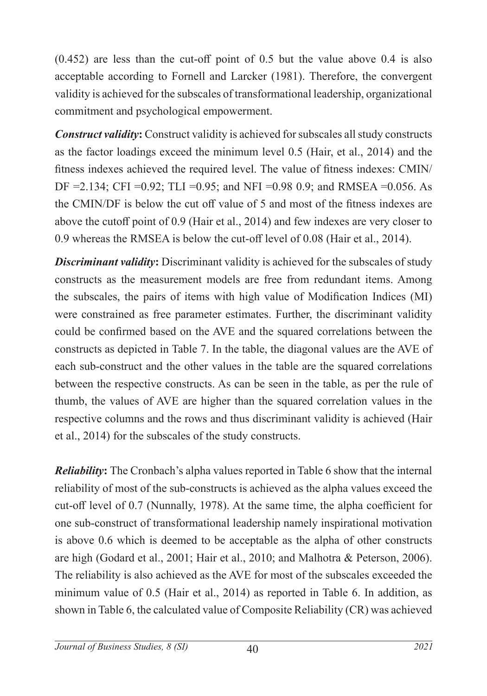(0.452) are less than the cut-off point of 0.5 but the value above 0.4 is also acceptable according to Fornell and Larcker (1981). Therefore, the convergent validity is achieved for the subscales of transformational leadership, organizational commitment and psychological empowerment.

*Construct validity***:** Construct validity is achieved for subscales all study constructs as the factor loadings exceed the minimum level 0.5 (Hair, et al., 2014) and the fitness indexes achieved the required level. The value of fitness indexes: CMIN/ DF =2.134; CFI =0.92; TLI =0.95; and NFI =0.98 0.9; and RMSEA =0.056. As the CMIN/DF is below the cut off value of 5 and most of the fitness indexes are above the cutoff point of 0.9 (Hair et al., 2014) and few indexes are very closer to 0.9 whereas the RMSEA is below the cut-off level of 0.08 (Hair et al., 2014).

*Discriminant validity***:** Discriminant validity is achieved for the subscales of study constructs as the measurement models are free from redundant items. Among the subscales, the pairs of items with high value of Modification Indices (MI) were constrained as free parameter estimates. Further, the discriminant validity could be confirmed based on the AVE and the squared correlations between the constructs as depicted in Table 7. In the table, the diagonal values are the AVE of each sub-construct and the other values in the table are the squared correlations between the respective constructs. As can be seen in the table, as per the rule of thumb, the values of AVE are higher than the squared correlation values in the respective columns and the rows and thus discriminant validity is achieved (Hair et al., 2014) for the subscales of the study constructs.

*Reliability***:** The Cronbach's alpha values reported in Table 6 show that the internal reliability of most of the sub-constructs is achieved as the alpha values exceed the cut-off level of 0.7 (Nunnally, 1978). At the same time, the alpha coefficient for one sub-construct of transformational leadership namely inspirational motivation is above 0.6 which is deemed to be acceptable as the alpha of other constructs are high (Godard et al., 2001; Hair et al., 2010; and Malhotra & Peterson, 2006). The reliability is also achieved as the AVE for most of the subscales exceeded the minimum value of 0.5 (Hair et al., 2014) as reported in Table 6. In addition, as shown in Table 6, the calculated value of Composite Reliability (CR) was achieved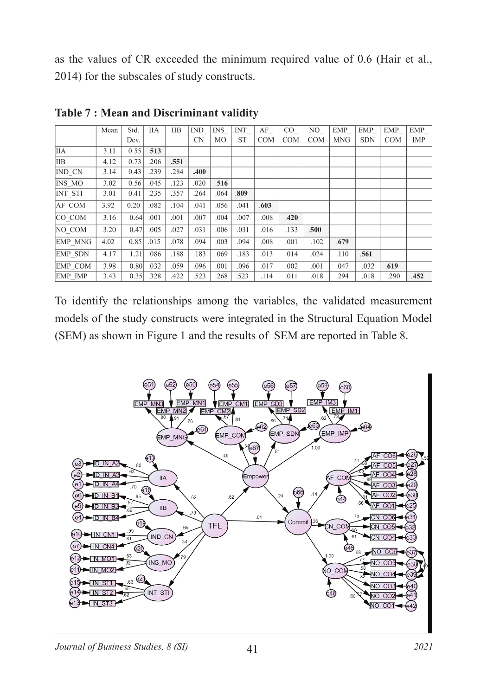as the values of CR exceeded the minimum required value of 0.6 (Hair et al., 2014) for the subscales of study constructs.

|                | Mean | Std. | <b>IIA</b> | <b>IIB</b> | <b>IND</b> | <b>INS</b> | <b>INT</b> | AF         | $\rm CO$   | NO.        | EMP        | EMP        | EMP        | EMP        |
|----------------|------|------|------------|------------|------------|------------|------------|------------|------------|------------|------------|------------|------------|------------|
|                |      | Dev. |            |            | <b>CN</b>  | MO         | <b>ST</b>  | <b>COM</b> | <b>COM</b> | <b>COM</b> | <b>MNG</b> | <b>SDN</b> | <b>COM</b> | <b>IMP</b> |
| <b>IIA</b>     | 3.11 | 0.55 | .513       |            |            |            |            |            |            |            |            |            |            |            |
| <b>IIB</b>     | 4.12 | 0.73 | .206       | .551       |            |            |            |            |            |            |            |            |            |            |
| IND CN         | 3.14 | 0.43 | .239       | .284       | .400       |            |            |            |            |            |            |            |            |            |
| INS MO         | 3.02 | 0.56 | .045       | .123       | .020       | .516       |            |            |            |            |            |            |            |            |
| <b>INT STI</b> | 3.01 | 0.41 | .235       | .357       | .264       | .064       | .809       |            |            |            |            |            |            |            |
| AF COM         | 3.92 | 0.20 | .082       | .104       | .041       | .056       | .041       | .603       |            |            |            |            |            |            |
| CO COM         | 3.16 | 0.64 | .001       | .001       | .007       | .004       | .007       | .008       | .420       |            |            |            |            |            |
| NO COM         | 3.20 | 0.47 | .005       | .027       | .031       | .006       | .031       | .016       | .133       | .500       |            |            |            |            |
| <b>EMP MNG</b> | 4.02 | 0.85 | .015       | .078       | .094       | .003       | .094       | .008       | .001       | .102       | .679       |            |            |            |
| <b>EMP SDN</b> | 4.17 | 1.21 | .086       | .188       | .183       | .069       | .183       | .013       | .014       | .024       | .110       | .561       |            |            |
| EMP COM        | 3.98 | 0.80 | .032       | .059       | .096       | .001       | .096       | .017       | .002       | .001       | .047       | .032       | .619       |            |
| EMP IMP        | 3.43 | 0.35 | .328       | .422       | .523       | .268       | .523       | .114       | .011       | .018       | .294       | .018       | .290       | .452       |

**Table 7 : Mean and Discriminant validity** 

To identify the relationships among the variables, the validated measurement models of the study constructs were integrated in the Structural Equation Model (SEM) as shown in Figure 1 and the results of SEM are reported in Table 8.

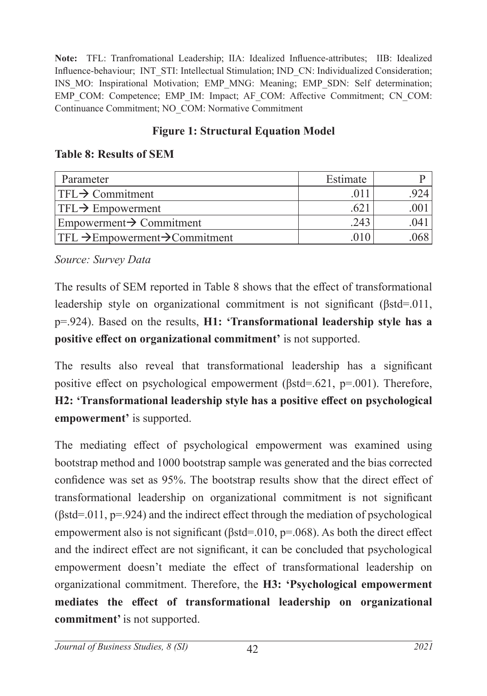**Note:** TFL: Tranfromational Leadership; IIA: Idealized Influence-attributes; IIB: Idealized Influence-behaviour; INT\_STI: Intellectual Stimulation; IND\_CN: Individualized Consideration; INS\_MO: Inspirational Motivation; EMP\_MNG: Meaning; EMP\_SDN: Self determination; EMP\_COM: Competence; EMP\_IM: Impact; AF\_COM: Affective Commitment; CN\_COM: Continuance Commitment; NO\_COM: Normative Commitment

# **Figure 1: Structural Equation Model**

# **Table 8: Results of SEM**

| Parameter                                              | Estimate |       |
|--------------------------------------------------------|----------|-------|
| $ TFL \rightarrow \text{Commitment}$                   |          |       |
| $ TFL \rightarrow$ Empowerment                         | .621     |       |
| $\mathsf{Empowerment} \rightarrow \mathsf{Committer}$  | 243      | .041  |
| $ TFL \rightarrow Empowerment \rightarrow Committment$ | 010      | .0681 |

*Source: Survey Data*

The results of SEM reported in Table 8 shows that the effect of transformational leadership style on organizational commitment is not significant (βstd=.011, p=.924). Based on the results, **H1: 'Transformational leadership style has a positive effect on organizational commitment'** is not supported.

The results also reveal that transformational leadership has a significant positive effect on psychological empowerment (βstd=.621, p=.001). Therefore, **H2: 'Transformational leadership style has a positive effect on psychological empowerment'** is supported.

The mediating effect of psychological empowerment was examined using bootstrap method and 1000 bootstrap sample was generated and the bias corrected confidence was set as 95%. The bootstrap results show that the direct effect of transformational leadership on organizational commitment is not significant  $(\beta$ std=.011, p=.924) and the indirect effect through the mediation of psychological empowerment also is not significant (βstd=.010, p=.068). As both the direct effect and the indirect effect are not significant, it can be concluded that psychological empowerment doesn't mediate the effect of transformational leadership on organizational commitment. Therefore, the **H3: 'Psychological empowerment mediates the effect of transformational leadership on organizational commitment'** is not supported.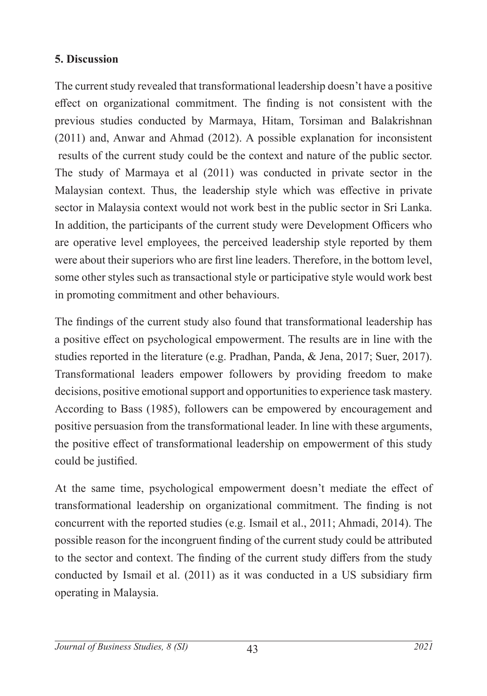# **5. Discussion**

The current study revealed that transformational leadership doesn't have a positive effect on organizational commitment. The finding is not consistent with the previous studies conducted by Marmaya, Hitam, Torsiman and Balakrishnan (2011) and, Anwar and Ahmad (2012). A possible explanation for inconsistent results of the current study could be the context and nature of the public sector. The study of Marmaya et al (2011) was conducted in private sector in the Malaysian context. Thus, the leadership style which was effective in private sector in Malaysia context would not work best in the public sector in Sri Lanka. In addition, the participants of the current study were Development Officers who are operative level employees, the perceived leadership style reported by them were about their superiors who are first line leaders. Therefore, in the bottom level, some other styles such as transactional style or participative style would work best in promoting commitment and other behaviours.

The findings of the current study also found that transformational leadership has a positive effect on psychological empowerment. The results are in line with the studies reported in the literature (e.g. Pradhan, Panda, & Jena, 2017; Suer, 2017). Transformational leaders empower followers by providing freedom to make decisions, positive emotional support and opportunities to experience task mastery. According to Bass (1985), followers can be empowered by encouragement and positive persuasion from the transformational leader. In line with these arguments, the positive effect of transformational leadership on empowerment of this study could be justified.

At the same time, psychological empowerment doesn't mediate the effect of transformational leadership on organizational commitment. The finding is not concurrent with the reported studies (e.g. Ismail et al., 2011; Ahmadi, 2014). The possible reason for the incongruent finding of the current study could be attributed to the sector and context. The finding of the current study differs from the study conducted by Ismail et al. (2011) as it was conducted in a US subsidiary firm operating in Malaysia.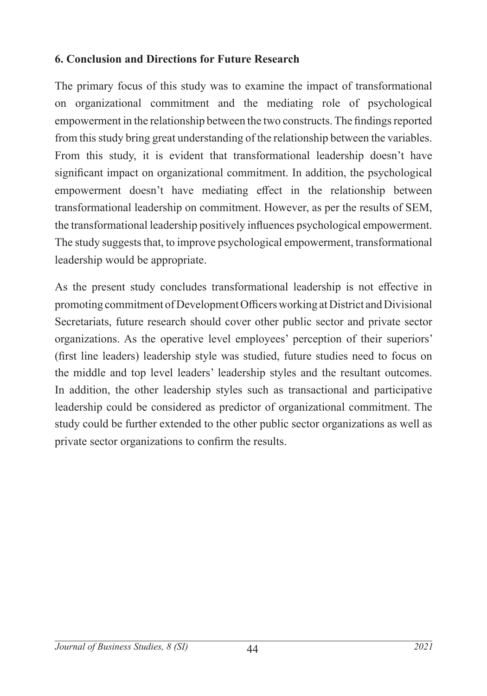### **6. Conclusion and Directions for Future Research**

The primary focus of this study was to examine the impact of transformational on organizational commitment and the mediating role of psychological empowerment in the relationship between the two constructs. The findings reported from this study bring great understanding of the relationship between the variables. From this study, it is evident that transformational leadership doesn't have significant impact on organizational commitment. In addition, the psychological empowerment doesn't have mediating effect in the relationship between transformational leadership on commitment. However, as per the results of SEM, the transformational leadership positively influences psychological empowerment. The study suggests that, to improve psychological empowerment, transformational leadership would be appropriate.

As the present study concludes transformational leadership is not effective in promoting commitment of Development Officers working at District and Divisional Secretariats, future research should cover other public sector and private sector organizations. As the operative level employees' perception of their superiors' (first line leaders) leadership style was studied, future studies need to focus on the middle and top level leaders' leadership styles and the resultant outcomes. In addition, the other leadership styles such as transactional and participative leadership could be considered as predictor of organizational commitment. The study could be further extended to the other public sector organizations as well as private sector organizations to confirm the results.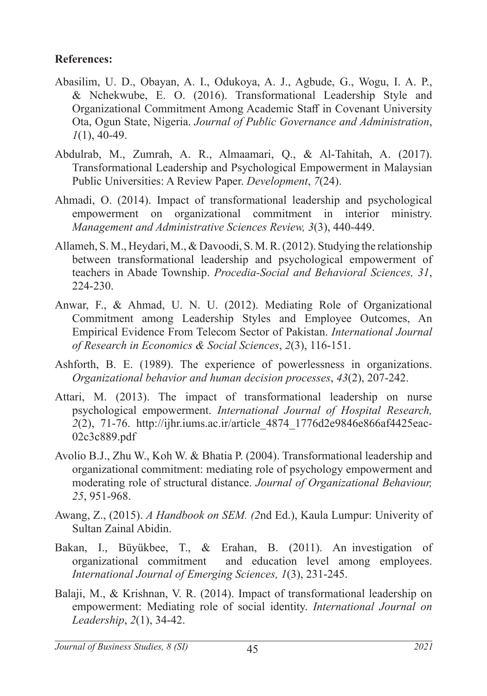#### **References:**

- Abasilim, U. D., Obayan, A. I., Odukoya, A. J., Agbude, G., Wogu, I. A. P., & Nchekwube, E. O. (2016). Transformational Leadership Style and Organizational Commitment Among Academic Staff in Covenant University Ota, Ogun State, Nigeria. *Journal of Public Governance and Administration*, *1*(1), 40-49.
- Abdulrab, M., Zumrah, A. R., Almaamari, Q., & Al-Tahitah, A. (2017). Transformational Leadership and Psychological Empowerment in Malaysian Public Universities: A Review Paper. *Development*, *7*(24).
- Ahmadi, O. (2014). Impact of transformational leadership and psychological empowerment on organizational commitment in interior ministry. *Management and Administrative Sciences Review, 3*(3), 440-449.
- Allameh, S. M., Heydari, M., & Davoodi, S. M. R. (2012). Studying the relationship between transformational leadership and psychological empowerment of teachers in Abade Township. *Procedia-Social and Behavioral Sciences, 31*, 224-230.
- Anwar, F., & Ahmad, U. N. U. (2012). Mediating Role of Organizational Commitment among Leadership Styles and Employee Outcomes, An Empirical Evidence From Telecom Sector of Pakistan. *International Journal of Research in Economics & Social Sciences*, *2*(3), 116-151.
- Ashforth, B. E. (1989). The experience of powerlessness in organizations. *Organizational behavior and human decision processes*, *43*(2), 207-242.
- Attari, M. (2013). The impact of transformational leadership on nurse psychological empowerment. *International Journal of Hospital Research, 2*(2), 71-76. http://ijhr.iums.ac.ir/article\_4874\_1776d2e9846e866af4425eac-02c3c889.pdf
- Avolio B.J., Zhu W., Koh W. & Bhatia P. (2004). Transformational leadership and organizational commitment: mediating role of psychology empowerment and moderating role of structural distance. *Journal of Organizational Behaviour, 25*, 951-968.
- Awang, Z., (2015). *A Handbook on SEM. (2*nd Ed.), Kaula Lumpur: Univerity of Sultan Zainal Abidin.
- Bakan, I., Büyükbee, T., & Erahan, B. (2011). An investigation of organizational commitment and education level among employees. *International Journal of Emerging Sciences, 1*(3), 231-245.
- Balaji, M., & Krishnan, V. R. (2014). Impact of transformational leadership on empowerment: Mediating role of social identity. *International Journal on Leadership*, *2*(1), 34-42.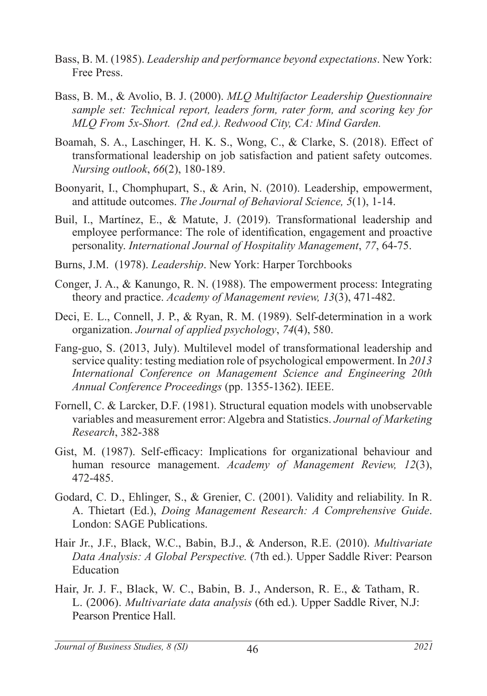- Bass, B. M. (1985). *Leadership and performance beyond expectations*. New York: Free Press.
- Bass, B. M., & Avolio, B. J. (2000). *MLQ Multifactor Leadership Questionnaire sample set: Technical report, leaders form, rater form, and scoring key for MLQ From 5x-Short. (2nd ed.). Redwood City, CA: Mind Garden.*
- Boamah, S. A., Laschinger, H. K. S., Wong, C., & Clarke, S. (2018). Effect of transformational leadership on job satisfaction and patient safety outcomes. *Nursing outlook*, *66*(2), 180-189.
- Boonyarit, I., Chomphupart, S., & Arin, N. (2010). Leadership, empowerment, and attitude outcomes. *The Journal of Behavioral Science, 5*(1), 1-14.
- Buil, I., Martínez, E., & Matute, J. (2019). Transformational leadership and employee performance: The role of identification, engagement and proactive personality. *International Journal of Hospitality Management*, *77*, 64-75.
- Burns, J.M. (1978). *Leadership*. New York: Harper Torchbooks
- Conger, J. A., & Kanungo, R. N. (1988). The empowerment process: Integrating theory and practice. *Academy of Management review, 13*(3), 471-482.
- Deci, E. L., Connell, J. P., & Ryan, R. M. (1989). Self-determination in a work organization. *Journal of applied psychology*, *74*(4), 580.
- Fang-guo, S. (2013, July). Multilevel model of transformational leadership and service quality: testing mediation role of psychological empowerment. In *2013 International Conference on Management Science and Engineering 20th Annual Conference Proceedings* (pp. 1355-1362). IEEE.
- Fornell, C. & Larcker, D.F. (1981). Structural equation models with unobservable variables and measurement error: Algebra and Statistics. *Journal of Marketing Research*, 382-388
- Gist, M. (1987). Self-efficacy: Implications for organizational behaviour and human resource management. *Academy of Management Review, 12*(3), 472-485.
- Godard, C. D., Ehlinger, S., & Grenier, C. (2001). Validity and reliability. In R. A. Thietart (Ed.), *Doing Management Research: A Comprehensive Guide*. London: SAGE Publications.
- Hair Jr., J.F., Black, W.C., Babin, B.J., & Anderson, R.E. (2010). *Multivariate Data Analysis: A Global Perspective.* (7th ed.). Upper Saddle River: Pearson Education
- Hair, Jr. J. F., Black, W. C., Babin, B. J., Anderson, R. E., & Tatham, R. L. (2006). *Multivariate data analysis* (6th ed.). Upper Saddle River, N.J: Pearson Prentice Hall.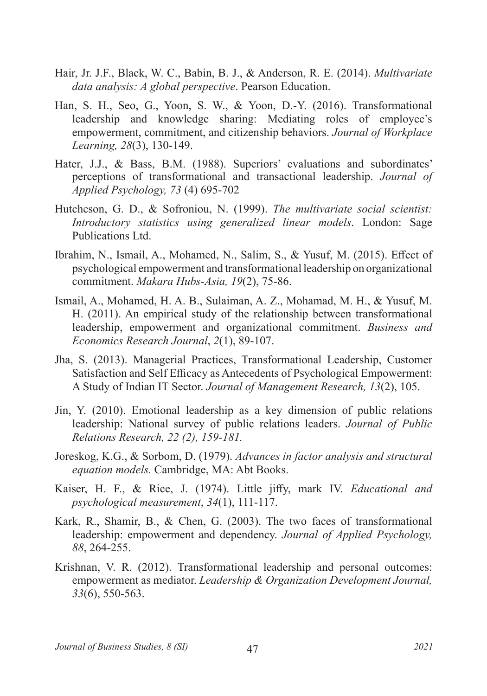- Hair, Jr. J.F., Black, W. C., Babin, B. J., & Anderson, R. E. (2014). *Multivariate data analysis: A global perspective*. Pearson Education.
- Han, S. H., Seo, G., Yoon, S. W., & Yoon, D.-Y. (2016). Transformational leadership and knowledge sharing: Mediating roles of employee's empowerment, commitment, and citizenship behaviors. *Journal of Workplace Learning, 28*(3), 130-149.
- Hater, J.J., & Bass, B.M. (1988). Superiors' evaluations and subordinates' perceptions of transformational and transactional leadership. *Journal of Applied Psychology, 73* (4) 695-702
- Hutcheson, G. D., & Sofroniou, N. (1999). *The multivariate social scientist: Introductory statistics using generalized linear models*. London: Sage Publications Ltd.
- Ibrahim, N., Ismail, A., Mohamed, N., Salim, S., & Yusuf, M. (2015). Effect of psychological empowerment and transformational leadership on organizational commitment. *Makara Hubs-Asia, 19*(2), 75-86.
- Ismail, A., Mohamed, H. A. B., Sulaiman, A. Z., Mohamad, M. H., & Yusuf, M. H. (2011). An empirical study of the relationship between transformational leadership, empowerment and organizational commitment. *Business and Economics Research Journal*, *2*(1), 89-107.
- Jha, S. (2013). Managerial Practices, Transformational Leadership, Customer Satisfaction and Self Efficacy as Antecedents of Psychological Empowerment: A Study of Indian IT Sector. *Journal of Management Research, 13*(2), 105.
- Jin, Y. (2010). Emotional leadership as a key dimension of public relations leadership: National survey of public relations leaders. *Journal of Public Relations Research, 22 (2), 159-181.*
- Joreskog, K.G., & Sorbom, D. (1979). *Advances in factor analysis and structural equation models.* Cambridge, MA: Abt Books.
- Kaiser, H. F., & Rice, J. (1974). Little jiffy, mark IV. *Educational and psychological measurement*, *34*(1), 111-117.
- Kark, R., Shamir, B., & Chen, G. (2003). The two faces of transformational leadership: empowerment and dependency. *Journal of Applied Psychology, 88*, 264-255.
- Krishnan, V. R. (2012). Transformational leadership and personal outcomes: empowerment as mediator. *Leadership & Organization Development Journal, 33*(6), 550-563.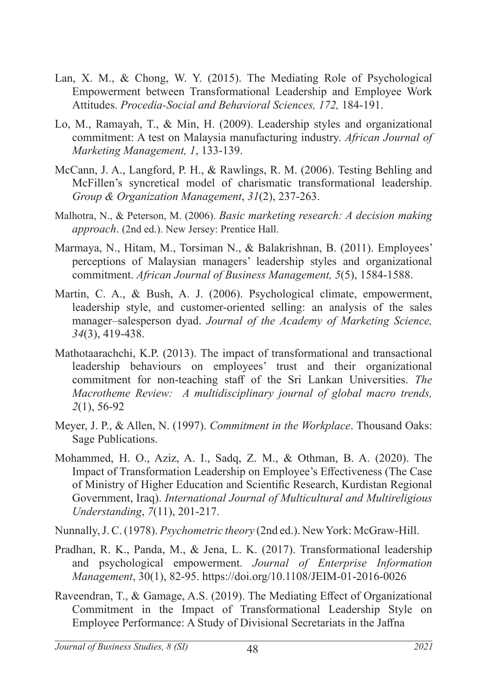- Lan, X. M., & Chong, W. Y. (2015). The Mediating Role of Psychological Empowerment between Transformational Leadership and Employee Work Attitudes. *Procedia-Social and Behavioral Sciences, 172,* 184-191.
- Lo, M., Ramayah, T., & Min, H. (2009). Leadership styles and organizational commitment: A test on Malaysia manufacturing industry. *African Journal of Marketing Management, 1*, 133-139.
- McCann, J. A., Langford, P. H., & Rawlings, R. M. (2006). Testing Behling and McFillen's syncretical model of charismatic transformational leadership. *Group & Organization Management*, *31*(2), 237-263.
- Malhotra, N., & Peterson, M. (2006). *Basic marketing research: A decision making approach*. (2nd ed.). New Jersey: Prentice Hall.
- Marmaya, N., Hitam, M., Torsiman N., & Balakrishnan, B. (2011). Employees' perceptions of Malaysian managers' leadership styles and organizational commitment. *African Journal of Business Management, 5*(5), 1584-1588.
- Martin, C. A., & Bush, A. J. (2006). Psychological climate, empowerment, leadership style, and customer-oriented selling: an analysis of the sales manager–salesperson dyad. *Journal of the Academy of Marketing Science, 34*(3), 419-438.
- Mathotaarachchi, K.P. (2013). The impact of transformational and transactional leadership behaviours on employees' trust and their organizational commitment for non-teaching staff of the Sri Lankan Universities. *The Macrotheme Review: A multidisciplinary journal of global macro trends, 2*(1), 56-92
- Meyer, J. P., & Allen, N. (1997). *Commitment in the Workplace*. Thousand Oaks: Sage Publications.
- Mohammed, H. O., Aziz, A. I., Sadq, Z. M., & Othman, B. A. (2020). The Impact of Transformation Leadership on Employee's Effectiveness (The Case of Ministry of Higher Education and Scientific Research, Kurdistan Regional Government, Iraq). *International Journal of Multicultural and Multireligious Understanding*, *7*(11), 201-217.
- Nunnally,J. C. (1978). *Psychometric theory* (2nd ed.). New York: McGraw-Hill.
- Pradhan, R. K., Panda, M., & Jena, L. K. (2017). Transformational leadership and psychological empowerment. *Journal of Enterprise Information Management*, 30(1), 82-95. https://doi.org/10.1108/JEIM-01-2016-0026
- Raveendran, T., & Gamage, A.S. (2019). The Mediating Effect of Organizational Commitment in the Impact of Transformational Leadership Style on Employee Performance: A Study of Divisional Secretariats in the Jaffna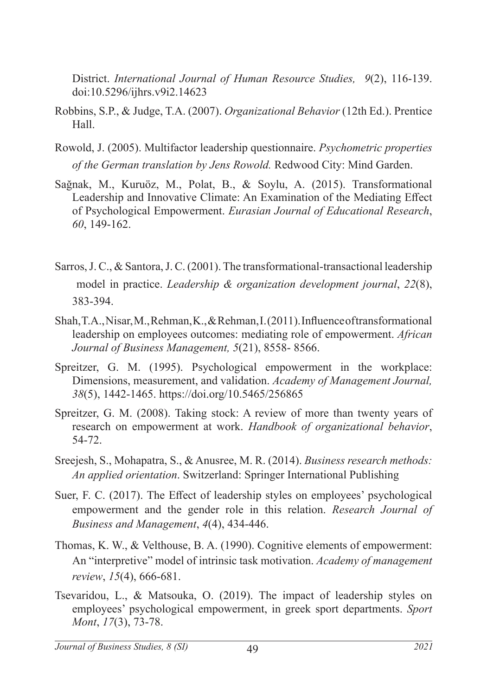District. *International Journal of Human Resource Studies, 9*(2), 116-139. doi:10.5296/ijhrs.v9i2.14623

- Robbins, S.P., & Judge, T.A. (2007). *Organizational Behavior* (12th Ed.). Prentice Hall.
- Rowold, J. (2005). Multifactor leadership questionnaire. *Psychometric properties of the German translation by Jens Rowold.* Redwood City: Mind Garden.
- Sağnak, M., Kuruöz, M., Polat, B., & Soylu, A. (2015). Transformational Leadership and Innovative Climate: An Examination of the Mediating Effect of Psychological Empowerment. *Eurasian Journal of Educational Research*, *60*, 149-162.
- Sarros, J. C., & Santora, J. C. (2001). The transformational-transactional leadership model in practice. *Leadership & organization development journal*, *22*(8), 383-394.
- Shah, T.A., Nisar, M., Rehman, K., & Rehman, I. (2011). Influence of transformational leadership on employees outcomes: mediating role of empowerment. *African Journal of Business Management, 5*(21), 8558- 8566.
- Spreitzer, G. M. (1995). Psychological empowerment in the workplace: Dimensions, measurement, and validation. *Academy of Management Journal, 38*(5), 1442-1465. https://doi.org/10.5465/256865
- Spreitzer, G. M. (2008). Taking stock: A review of more than twenty years of research on empowerment at work. *Handbook of organizational behavior*, 54-72.
- Sreejesh, S., Mohapatra, S., & Anusree, M. R. (2014). *Business research methods: An applied orientation*. Switzerland: Springer International Publishing
- Suer, F. C. (2017). The Effect of leadership styles on employees' psychological empowerment and the gender role in this relation. *Research Journal of Business and Management*, *4*(4), 434-446.
- Thomas, K. W., & Velthouse, B. A. (1990). Cognitive elements of empowerment: An "interpretive" model of intrinsic task motivation. *Academy of management review*, *15*(4), 666-681.
- Tsevaridou, L., & Matsouka, O. (2019). The impact of leadership styles on employees' psychological empowerment, in greek sport departments. *Sport Mont*, *17*(3), 73-78.